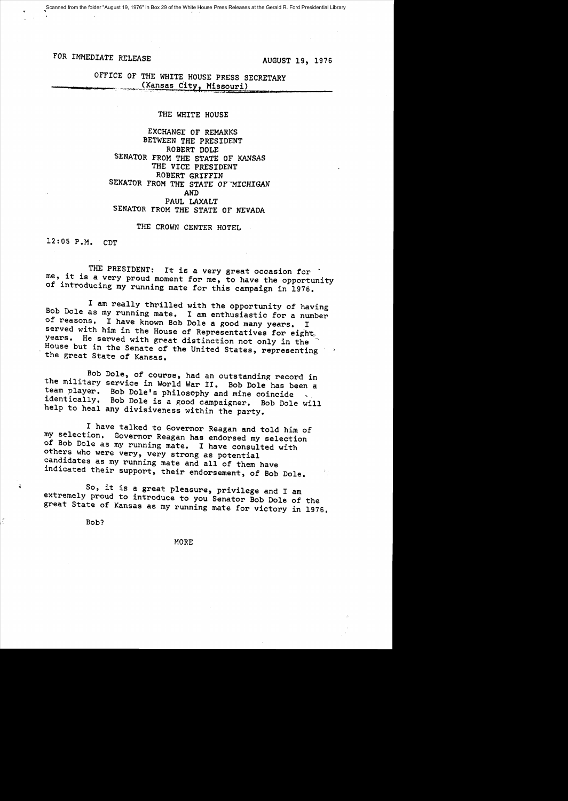Scanned from the folder "August 19, 1976" in Box 29 of the White House Press Releases at the Gerald R. Ford Presidential Library

# FOR IMMEDIATE RELEASE AUGUST 19, 1976

OFFICE OF THE WHITE HOUSE PRESS SECRETARY (Kansas City, Missouri)

## THE WHITE HOUSE

EXCHANGE or REMARKS BETWEEN THE PRESIDENT ROBERT DOLE SENATOR FROM THE STATE OF KANSAS THE VICE PRESIDENT ROBERT GRIFFIN SENATOR FROM THE STATE OF MICHIGAN AND PAUL LAXALT SENATOR FROM THE STATE OF NEVADA

THE CROWN CENTER HOTEL

12:05 P.M. CDT

THE PRESIDENT: It is a very great occasion for .<br>me, it is a very proud moment for me, to have the opportunity of introducing my running mate for this campaign in 1976.

I am really thrilled with the opportunity of having Bob Dole as my running mate. I am enthusiastic for a number of reasons. I have known Bob Dole a good many years. I served with him in the House of Representatives for eight, years. He served with great distinction not only in the House but in the Senate of the United States, representing the great State of Kansas.

Bob Dole, of course, had an outstanding record in the military service in World War II. Bob Dole has been a team player. Bob DOle's philosophy and mine coincide identically. Bob Dole is a good campaigner. Bob Dole will help to heal any divisiveness within the party.

I have talked to Governor Reagan and told him of my selection. Governor Reagan has endorsed my selection of Bob Dole as my running mate. I have consulted with others who were very, very strong as potential candidates as my running mate and all of them have indicated their support, their endorsement, of Bob Dole.

<sup>~</sup>So, it is a great pleasure, privilege and I am extremely proud to introduce to you Senator Bob Dole of the great State of Kansas as my running mate for victory in 1976.

Bob?

MORE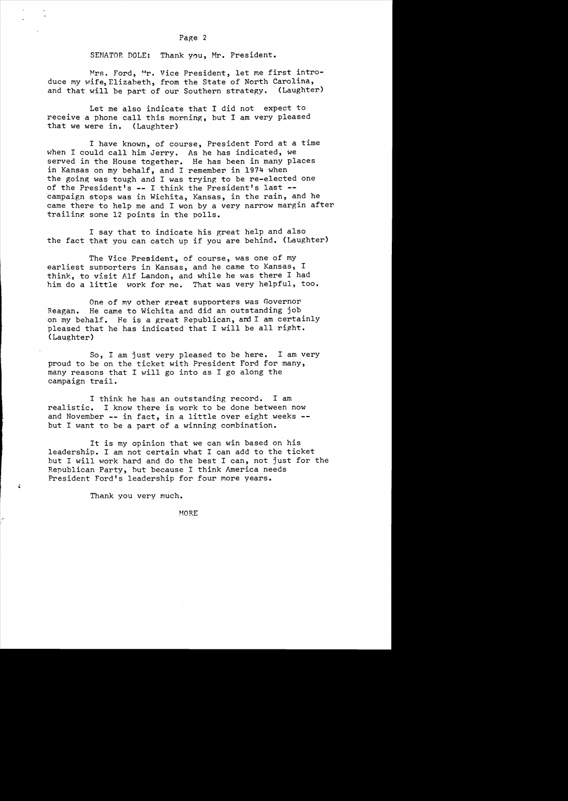### SENATOR DOLE: Thank you, Mr. President.

Mrs. Ford, Mr. Vice President, let me first introduce my wife, Elizabeth, from the State of North Carolina,<br>and that will be part of our Southern strategy. (Laughter) and that will be part of our Southern strategy.

Let me also indicate that I did not expect to receive a phone call this morning, but I am very pleased that we were in. (Laughter)

I have known, of course, President Ford at a time when I could call him Jerry. As he has indicated, we served in the House together. He has been in many places in Kansas on my behalf, and I remember in 1974 when the going was tough and I was trying to be re-elected one of the President's -- I think the President's last -campaign stops was in Wichita, Kansas, in the rain, and he came there to help me and I won by a very narrow margin after trailing some 12 points in the polls.

I say that to indicate his great help and also the fact that you can catch up if you are behind. (Laughter)

The Vice President, of course, was one of my earliest supporters in Kansas, and he came to Kansas, I think, to visit Alf Landon, and while he was there I had him do a little work for me. That was very helpful, to work for me. That was very helpful, too.

One of my other great supporters was Governor Reagan. He came to Wichita and did an outstanding job on my behalf. He is a great Republican, and I am certainly pleased that he has indicated that I will be all right. (Laughter)

So, I am just very pleased to be here. I am very proud to be on the ticket with President Ford for many, many reasons that I will go into as I go along the campaign trail.

I think he has an outstanding record. I am realistic. I know there is work to be done between now and November **--** in fact, in a little over eight weeks but I want to be a part of a winning combination.

It is my opinion that we can win based on his leadership. I am not certain what I can add to the ticket but I will work hard and do the best I can, not just for the Republican Party, but because I think America needs President Ford's leadership for four more years.

Thank you very much.

~lORE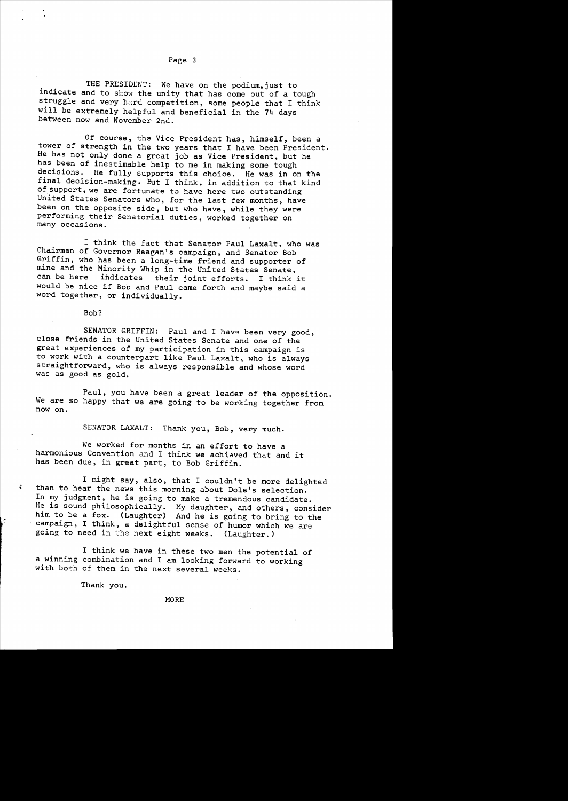THE PRESIDENT: We have on the podium, just to indicate and to show the unity that has come out of a tough struggle and very hard competition, some people that I think will be extremely helpful and beneficial in the 74 days between now and November 2nd.

Of course, the Vice President has, himself, been a tower of strength in the two years that I have been President. He has not only done a great job as Vice President, but he has been of inestimable help to me in making some tough decisions. He fully supports this choice. He was in on the final decision-making. But I think, in addition to that kind of support, we are fortunate to have here two outstanding United States Senators who, for the last few months, have been on the opposite side, but who have, while they were performing their Senatorial duties, worked together on many occasions.

I think the fact that Senator Paul Laxalt, who was Chairman of Governor Reagan's campaign, and Senator Bob Griffin, who has been a long-time friend and supporter of mine and the Minority Whip in the United States Senate,<br>can be here indicates their joint efforts. I think their joint efforts. I think it would be nice if Bob and Paul came forth and maybe said a word together, or individually.

Bob?

SENATOR GRIFFIN: Paul and I have been very good, close friends in the United States Senate and one of the great experiences of my participation in this campaign is to work with a counterpart like Paul Laxalt, who is always straightforward, who is always responsible and whose word was as good as gold.

Paul, you have been a great leader of the opposition. We are so happy that we are going to be working together from now on.

SENATOR LAXALT: Thank you, Bob, very much.

We worked for months in an effort to have a harmonious Convention and I think we achieved that and it has been due, in great part, to Bob Griffin.

I might say, also, that I couldn't be more delighted <sup>~</sup>**than to hear the news this morning about Dole's selection.**  In my judgment, he is going to make a tremendous candidate. He is sound philosophically. My daughter, and others, consider him to be a fox. (Laughter) And he is going to bring to the campaign, I think, a delightful sense of humor which we are going to need in the next eight weeks. (Laughter.)

I think we have in these two men the potential of a winning combination and I am looking forward to working with both of them in the next several weeks.

Thank you.

### MORE